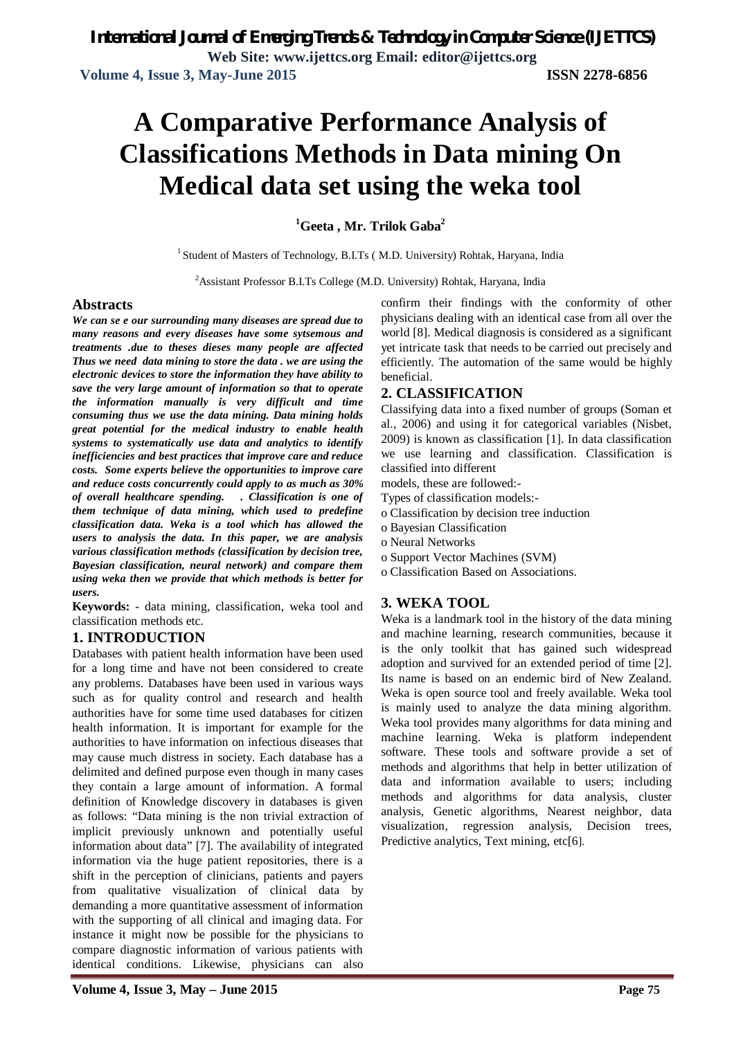# **A Comparative Performance Analysis of Classifications Methods in Data mining On Medical data set using the weka tool**

**<sup>1</sup>Geeta , Mr. Trilok Gaba<sup>2</sup>**

<sup>1</sup> Student of Masters of Technology, B.I.Ts (M.D. University) Rohtak, Haryana, India

<sup>2</sup> Assistant Professor B.I.Ts College (M.D. University) Rohtak, Haryana, India

## **Abstracts**

*We can se e our surrounding many diseases are spread due to many reasons and every diseases have some sytsemous and treatments .due to theses dieses many people are affected Thus we need data mining to store the data . we are using the electronic devices to store the information they have ability to save the very large amount of information so that to operate the information manually is very difficult and time consuming thus we use the data mining. Data mining holds great potential for the medical industry to enable health systems to systematically use data and analytics to identify inefficiencies and best practices that improve care and reduce costs. Some experts believe the opportunities to improve care and reduce costs concurrently could apply to as much as 30% of overall healthcare spending. . Classification is one of them technique of data mining, which used to predefine classification data. Weka is a tool which has allowed the users to analysis the data. In this paper, we are analysis various classification methods (classification by decision tree, Bayesian classification, neural network) and compare them using weka then we provide that which methods is better for users.*

**Keywords:** - data mining, classification, weka tool and classification methods etc.

## **1. INTRODUCTION**

Databases with patient health information have been used for a long time and have not been considered to create any problems. Databases have been used in various ways such as for quality control and research and health authorities have for some time used databases for citizen health information. It is important for example for the authorities to have information on infectious diseases that may cause much distress in society. Each database has a delimited and defined purpose even though in many cases they contain a large amount of information. A formal definition of Knowledge discovery in databases is given as follows: "Data mining is the non trivial extraction of implicit previously unknown and potentially useful information about data" [7]. The availability of integrated information via the huge patient repositories, there is a shift in the perception of clinicians, patients and payers from qualitative visualization of clinical data by demanding a more quantitative assessment of information with the supporting of all clinical and imaging data. For instance it might now be possible for the physicians to compare diagnostic information of various patients with identical conditions. Likewise, physicians can also confirm their findings with the conformity of other physicians dealing with an identical case from all over the world [8]. Medical diagnosis is considered as a significant yet intricate task that needs to be carried out precisely and efficiently. The automation of the same would be highly beneficial.

## **2. CLASSIFICATION**

Classifying data into a fixed number of groups (Soman et al., 2006) and using it for categorical variables (Nisbet, 2009) is known as classification [1]. In data classification we use learning and classification. Classification is classified into different

- models, these are followed:-
- Types of classification models:-
- o Classification by decision tree induction
- o Bayesian Classification
- o Neural Networks
- o Support Vector Machines (SVM)
- o Classification Based on Associations.

## **3. WEKA TOOL**

Weka is a landmark tool in the history of the data mining and machine learning, research communities, because it is the only toolkit that has gained such widespread adoption and survived for an extended period of time [2]. Its name is based on an endemic bird of New Zealand. Weka is open source tool and freely available. Weka tool is mainly used to analyze the data mining algorithm. Weka tool provides many algorithms for data mining and machine learning. Weka is platform independent software. These tools and software provide a set of methods and algorithms that help in better utilization of data and information available to users; including methods and algorithms for data analysis, cluster analysis, Genetic algorithms, Nearest neighbor, data visualization, regression analysis, Decision trees, Predictive analytics, Text mining, etc[6].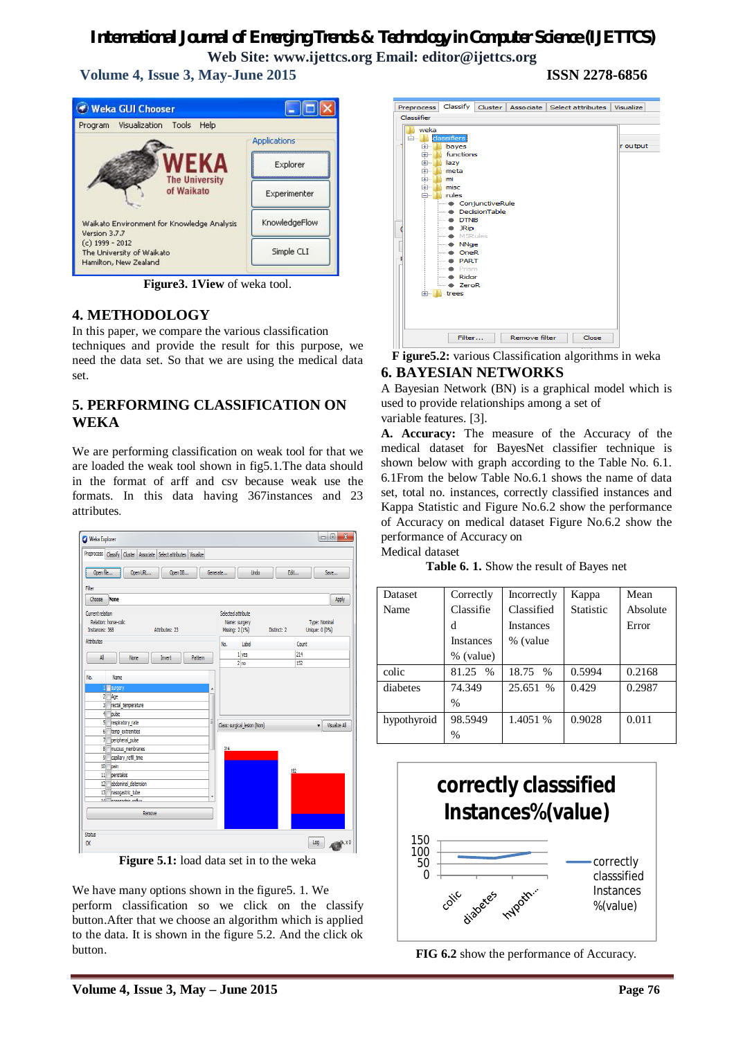**Volume 4, Issue 3, May-June 2015 ISSN 2278-6856**



**Figure3. 1View** of weka tool.

## **4. METHODOLOGY**

In this paper, we compare the various classification techniques and provide the result for this purpose, we need the data set. So that we are using the medical data  $c$ et.

## **5. PERFORMING CLASSIFICATION ON WEKA**

We are performing classification on weak tool for that we are loaded the weak tool shown in fig5.1.The data should in the format of arff and csv because weak use the formats. In this data having 367instances and 23 attributes.



**Figure 5.1:** load data set in to the weka

We have many options shown in the figure5. 1. We perform classification so we click on the classify button.After that we choose an algorithm which is applied to the data. It is shown in the figure 5.2. And the click ok button.



**F igure5.2:** various Classification algorithms in weka

## **6. BAYESIAN NETWORKS**

A Bayesian Network (BN) is a graphical model which is used to provide relationships among a set of variable features. [3].

**A. Accuracy:** The measure of the Accuracy of the medical dataset for BayesNet classifier technique is shown below with graph according to the Table No. 6.1. 6.1From the below Table No.6.1 shows the name of data set, total no. instances, correctly classified instances and Kappa Statistic and Figure No.6.2 show the performance of Accuracy on medical dataset Figure No.6.2 show the performance of Accuracy on

Medical dataset

**Table 6. 1.** Show the result of Bayes net

| Dataset     | Correctly        | Incorrectly      | Kappa     | Mean     |
|-------------|------------------|------------------|-----------|----------|
| Name        | Classifie        | Classified       | Statistic | Absolute |
|             | d                | <b>Instances</b> |           | Error    |
|             | <b>Instances</b> | % (value         |           |          |
|             | % (value)        |                  |           |          |
| colic       | 81.25 %          | 18.75 %          | 0.5994    | 0.2168   |
| diabetes    | 74.349           | 25.651 %         | 0.429     | 0.2987   |
|             | $\frac{0}{0}$    |                  |           |          |
| hypothyroid | 98.5949          | 1.4051 %         | 0.9028    | 0.011    |
|             | $\%$             |                  |           |          |



**FIG 6.2** show the performance of Accuracy.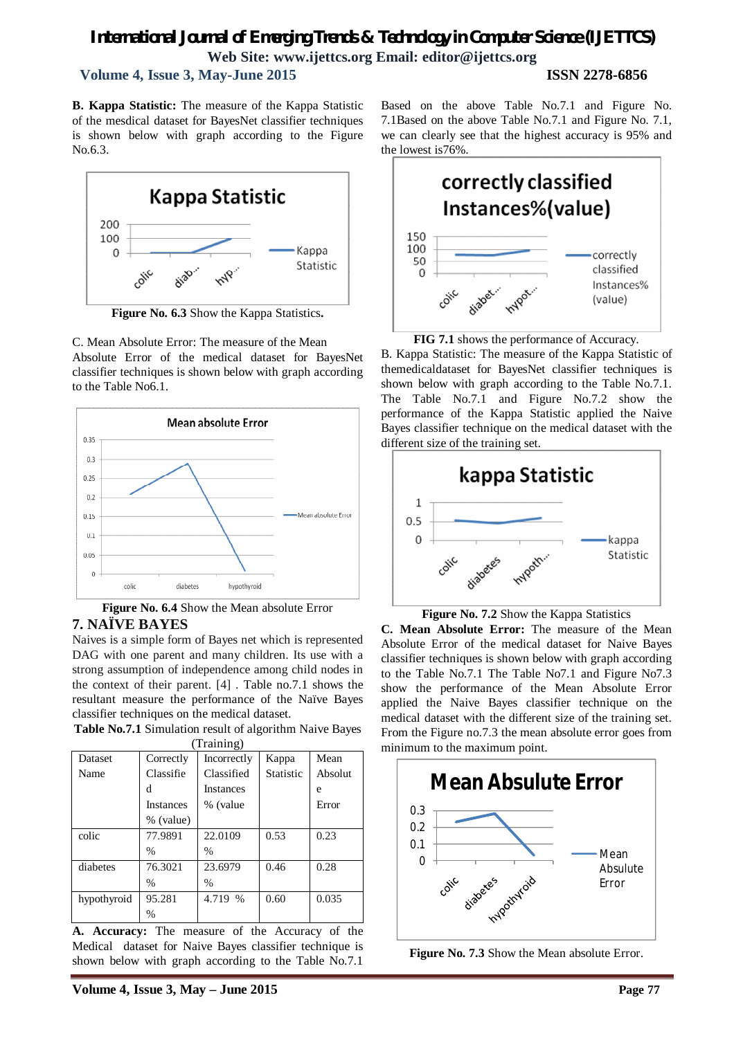## **Volume 4, Issue 3, May-June 2015 ISSN 2278-6856**

**B. Kappa Statistic:** The measure of the Kappa Statistic of the mesdical dataset for BayesNet classifier techniques is shown below with graph according to the Figure No.6.3.



**Figure No. 6.3** Show the Kappa Statistics**.**

C. Mean Absolute Error: The measure of the Mean Absolute Error of the medical dataset for BayesNet classifier techniques is shown below with graph according to the Table No6.1.



**Figure No. 6.4** Show the Mean absolute Error **7. NAÏVE BAYES**

Naives is a simple form of Bayes net which is represented DAG with one parent and many children. Its use with a strong assumption of independence among child nodes in the context of their parent. [4] . Table no.7.1 shows the resultant measure the performance of the Naïve Bayes classifier techniques on the medical dataset.

**Table No.7.1** Simulation result of algorithm Naive Bayes

| (Training)  |                  |                  |                  |         |  |
|-------------|------------------|------------------|------------------|---------|--|
| Dataset     | Correctly        | Incorrectly      | Kappa            | Mean    |  |
| Name        | Classifie        | Classified       | <b>Statistic</b> | Absolut |  |
|             | d                | <b>Instances</b> |                  | e       |  |
|             | <b>Instances</b> | % (value         |                  | Error   |  |
|             | % (value)        |                  |                  |         |  |
| colic       | 77.9891          | 22.0109          | 0.53             | 0.23    |  |
|             | $\frac{0}{0}$    | $\frac{0}{0}$    |                  |         |  |
| diabetes    | 76.3021          | 23.6979          | 0.46             | 0.28    |  |
|             | $\frac{0}{0}$    | $\frac{0}{0}$    |                  |         |  |
| hypothyroid | 95.281           | 4.719 %          | 0.60             | 0.035   |  |
|             | $\frac{0}{0}$    |                  |                  |         |  |

**A. Accuracy:** The measure of the Accuracy of the Medical dataset for Naive Bayes classifier technique is shown below with graph according to the Table No.7.1

Based on the above Table No.7.1 and Figure No. 7.1Based on the above Table No.7.1 and Figure No. 7.1, we can clearly see that the highest accuracy is 95% and the lowest is76%.



**FIG 7.1** shows the performance of Accuracy.

B. Kappa Statistic: The measure of the Kappa Statistic of themedicaldataset for BayesNet classifier techniques is shown below with graph according to the Table No.7.1. The Table No.7.1 and Figure No.7.2 show the performance of the Kappa Statistic applied the Naive Bayes classifier technique on the medical dataset with the different size of the training set.



**Figure No. 7.2** Show the Kappa Statistics

**C. Mean Absolute Error:** The measure of the Mean Absolute Error of the medical dataset for Naive Bayes classifier techniques is shown below with graph according to the Table No.7.1 The Table No7.1 and Figure No7.3 show the performance of the Mean Absolute Error applied the Naive Bayes classifier technique on the medical dataset with the different size of the training set. From the Figure no.7.3 the mean absolute error goes from minimum to the maximum point.



**Figure No. 7.3** Show the Mean absolute Error.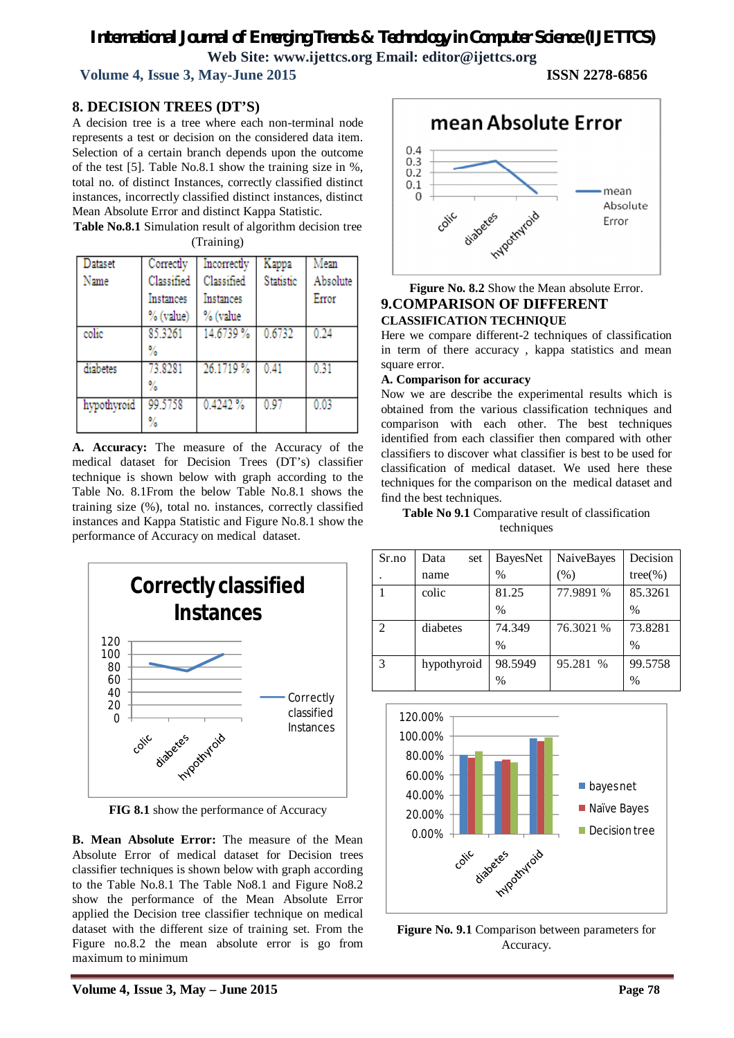**Volume 4, Issue 3, May-June 2015 ISSN 2278-6856**

## **8. DECISION TREES (DT'S)**

A decision tree is a tree where each non-terminal node represents a test or decision on the considered data item. Selection of a certain branch depends upon the outcome of the test [5]. Table No.8.1 show the training size in %, total no. of distinct Instances, correctly classified distinct instances, incorrectly classified distinct instances, distinct Mean Absolute Error and distinct Kappa Statistic.

**Table No.8.1** Simulation result of algorithm decision tree (Training)

| Dataset     | Correctly  | Incorrectly | Kappa     | Mean     |
|-------------|------------|-------------|-----------|----------|
| Name        | Classified | Classified  | Statistic | Absolute |
|             | Instances  | Instances   |           | Error    |
|             | % (value)  | % (value    |           |          |
| colic       | 85.3261    | 14.6739 %   | 0.6732    | 0.24     |
|             | %          |             |           |          |
| diabetes    | 73.8281    | 26.1719 %   | 0.41      | 0.31     |
|             | %          |             |           |          |
| hypothyroid | 99.5758    | 0.4242%     | 0.97      | 0.03     |
|             | %          |             |           |          |

**A. Accuracy:** The measure of the Accuracy of the medical dataset for Decision Trees (DT's) classifier technique is shown below with graph according to the Table No. 8.1From the below Table No.8.1 shows the training size (%), total no. instances, correctly classified instances and Kappa Statistic and Figure No.8.1 show the performance of Accuracy on medical dataset.



**FIG 8.1** show the performance of Accuracy

**B. Mean Absolute Error:** The measure of the Mean Absolute Error of medical dataset for Decision trees classifier techniques is shown below with graph according to the Table No.8.1 The Table No8.1 and Figure No8.2 show the performance of the Mean Absolute Error applied the Decision tree classifier technique on medical dataset with the different size of training set. From the Figure no.8.2 the mean absolute error is go from maximum to minimum



## **Figure No. 8.2** Show the Mean absolute Error. **9.COMPARISON OF DIFFERENT CLASSIFICATION TECHNIQUE**

Here we compare different-2 techniques of classification in term of there accuracy , kappa statistics and mean square error.

#### **A. Comparison for accuracy**

Now we are describe the experimental results which is obtained from the various classification techniques and comparison with each other. The best techniques identified from each classifier then compared with other classifiers to discover what classifier is best to be used for classification of medical dataset. We used here these techniques for the comparison on the medical dataset and find the best techniques.

**Table No 9.1** Comparative result of classification techniques

| Sr.no          | Data<br>set | BayesNet      | NaiveBayes | Decision      |
|----------------|-------------|---------------|------------|---------------|
|                | name        | $\frac{0}{0}$ | (% )       | $tree(\% )$   |
|                | colic       | 81.25         | 77.9891 %  | 85.3261       |
|                |             | $\frac{0}{0}$ |            | $\%$          |
| $\mathfrak{D}$ | diabetes    | 74.349        | 76.3021 %  | 73.8281       |
|                |             | $\frac{0}{0}$ |            | $\frac{0}{0}$ |
| 3              | hypothyroid | 98.5949       | 95.281 %   | 99.5758       |
|                |             | $\frac{0}{0}$ |            | $\%$          |